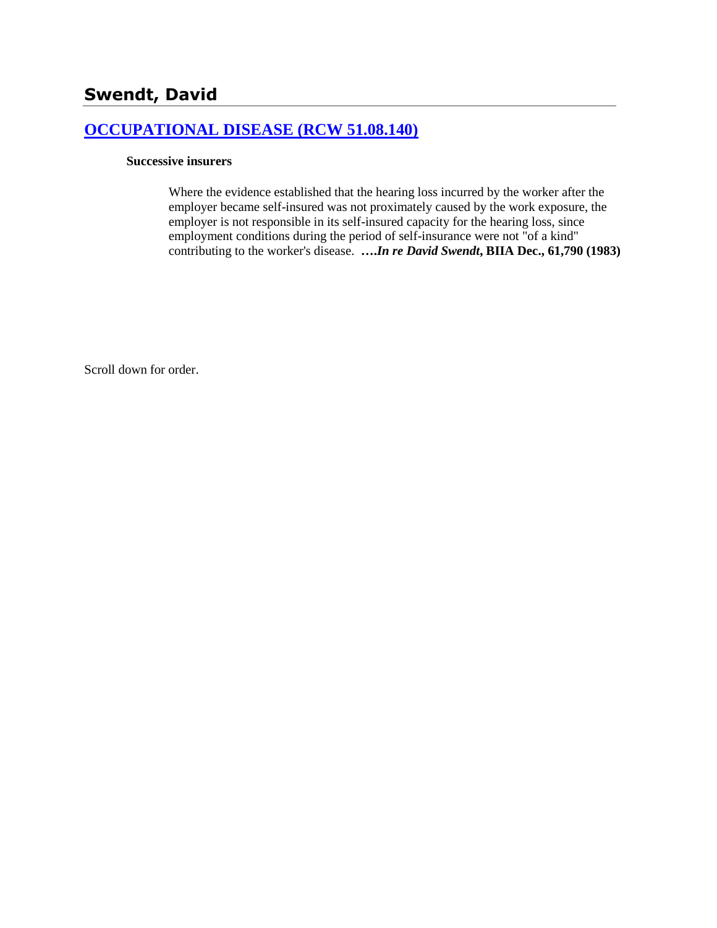# **[OCCUPATIONAL DISEASE \(RCW 51.08.140\)](http://www.biia.wa.gov/SDSubjectIndex.html#OCCUPATIONAL_DISEASE)**

### **Successive insurers**

Where the evidence established that the hearing loss incurred by the worker after the employer became self-insured was not proximately caused by the work exposure, the employer is not responsible in its self-insured capacity for the hearing loss, since employment conditions during the period of self-insurance were not "of a kind" contributing to the worker's disease. **….***In re David Swendt***, BIIA Dec., 61,790 (1983)** 

Scroll down for order.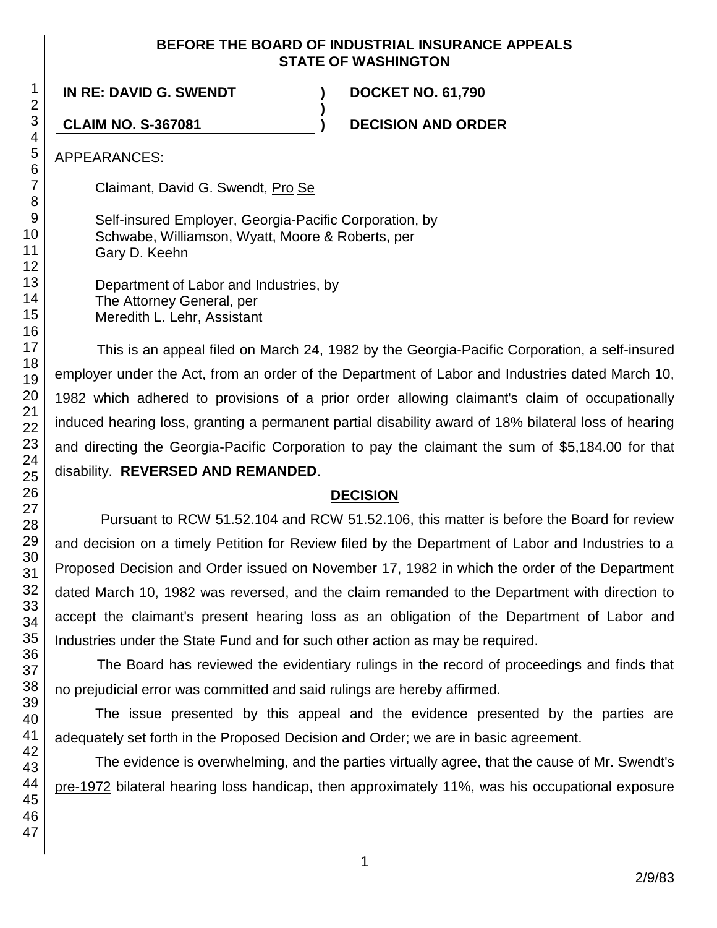### **BEFORE THE BOARD OF INDUSTRIAL INSURANCE APPEALS STATE OF WASHINGTON**

**)**

**IN RE: DAVID G. SWENDT ) DOCKET NO. 61,790**

**CLAIM NO. S-367081 ) DECISION AND ORDER**

APPEARANCES:

Claimant, David G. Swendt, Pro Se

Self-insured Employer, Georgia-Pacific Corporation, by Schwabe, Williamson, Wyatt, Moore & Roberts, per Gary D. Keehn

Department of Labor and Industries, by The Attorney General, per Meredith L. Lehr, Assistant

This is an appeal filed on March 24, 1982 by the Georgia-Pacific Corporation, a self-insured employer under the Act, from an order of the Department of Labor and Industries dated March 10, 1982 which adhered to provisions of a prior order allowing claimant's claim of occupationally induced hearing loss, granting a permanent partial disability award of 18% bilateral loss of hearing and directing the Georgia-Pacific Corporation to pay the claimant the sum of \$5,184.00 for that disability. **REVERSED AND REMANDED**.

# **DECISION**

Pursuant to RCW 51.52.104 and RCW 51.52.106, this matter is before the Board for review and decision on a timely Petition for Review filed by the Department of Labor and Industries to a Proposed Decision and Order issued on November 17, 1982 in which the order of the Department dated March 10, 1982 was reversed, and the claim remanded to the Department with direction to accept the claimant's present hearing loss as an obligation of the Department of Labor and Industries under the State Fund and for such other action as may be required.

The Board has reviewed the evidentiary rulings in the record of proceedings and finds that no prejudicial error was committed and said rulings are hereby affirmed.

The issue presented by this appeal and the evidence presented by the parties are adequately set forth in the Proposed Decision and Order; we are in basic agreement.

The evidence is overwhelming, and the parties virtually agree, that the cause of Mr. Swendt's pre-1972 bilateral hearing loss handicap, then approximately 11%, was his occupational exposure

1 2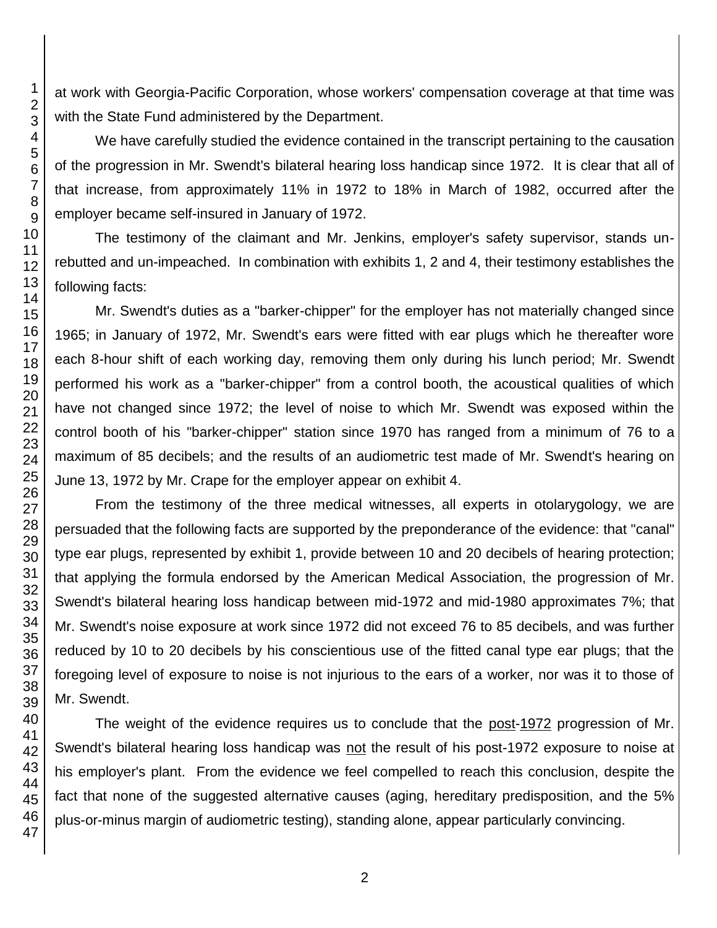at work with Georgia-Pacific Corporation, whose workers' compensation coverage at that time was with the State Fund administered by the Department.

We have carefully studied the evidence contained in the transcript pertaining to the causation of the progression in Mr. Swendt's bilateral hearing loss handicap since 1972. It is clear that all of that increase, from approximately 11% in 1972 to 18% in March of 1982, occurred after the employer became self-insured in January of 1972.

The testimony of the claimant and Mr. Jenkins, employer's safety supervisor, stands unrebutted and un-impeached. In combination with exhibits 1, 2 and 4, their testimony establishes the following facts:

Mr. Swendt's duties as a "barker-chipper" for the employer has not materially changed since 1965; in January of 1972, Mr. Swendt's ears were fitted with ear plugs which he thereafter wore each 8-hour shift of each working day, removing them only during his lunch period; Mr. Swendt performed his work as a "barker-chipper" from a control booth, the acoustical qualities of which have not changed since 1972; the level of noise to which Mr. Swendt was exposed within the control booth of his "barker-chipper" station since 1970 has ranged from a minimum of 76 to a maximum of 85 decibels; and the results of an audiometric test made of Mr. Swendt's hearing on June 13, 1972 by Mr. Crape for the employer appear on exhibit 4.

From the testimony of the three medical witnesses, all experts in otolarygology, we are persuaded that the following facts are supported by the preponderance of the evidence: that "canal" type ear plugs, represented by exhibit 1, provide between 10 and 20 decibels of hearing protection; that applying the formula endorsed by the American Medical Association, the progression of Mr. Swendt's bilateral hearing loss handicap between mid-1972 and mid-1980 approximates 7%; that Mr. Swendt's noise exposure at work since 1972 did not exceed 76 to 85 decibels, and was further reduced by 10 to 20 decibels by his conscientious use of the fitted canal type ear plugs; that the foregoing level of exposure to noise is not injurious to the ears of a worker, nor was it to those of Mr. Swendt.

The weight of the evidence requires us to conclude that the post-1972 progression of Mr. Swendt's bilateral hearing loss handicap was not the result of his post-1972 exposure to noise at his employer's plant. From the evidence we feel compelled to reach this conclusion, despite the fact that none of the suggested alternative causes (aging, hereditary predisposition, and the 5% plus-or-minus margin of audiometric testing), standing alone, appear particularly convincing.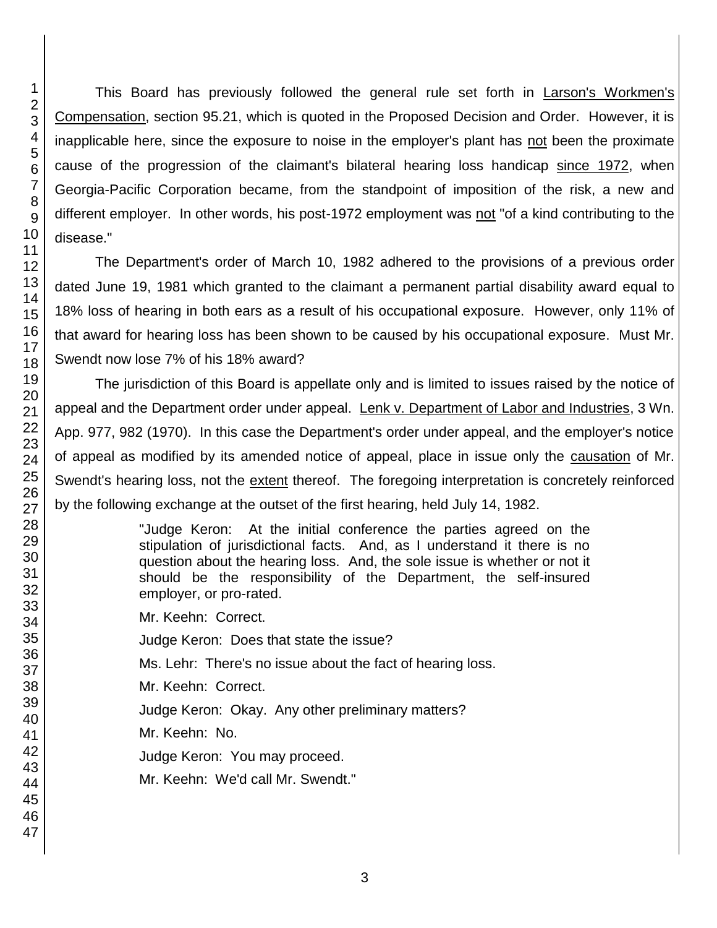This Board has previously followed the general rule set forth in Larson's Workmen's Compensation, section 95.21, which is quoted in the Proposed Decision and Order. However, it is inapplicable here, since the exposure to noise in the employer's plant has not been the proximate cause of the progression of the claimant's bilateral hearing loss handicap since 1972, when Georgia-Pacific Corporation became, from the standpoint of imposition of the risk, a new and different employer. In other words, his post-1972 employment was not "of a kind contributing to the disease."

The Department's order of March 10, 1982 adhered to the provisions of a previous order dated June 19, 1981 which granted to the claimant a permanent partial disability award equal to 18% loss of hearing in both ears as a result of his occupational exposure. However, only 11% of that award for hearing loss has been shown to be caused by his occupational exposure. Must Mr. Swendt now lose 7% of his 18% award?

The jurisdiction of this Board is appellate only and is limited to issues raised by the notice of appeal and the Department order under appeal. Lenk v. Department of Labor and Industries, 3 Wn. App. 977, 982 (1970). In this case the Department's order under appeal, and the employer's notice of appeal as modified by its amended notice of appeal, place in issue only the causation of Mr. Swendt's hearing loss, not the extent thereof. The foregoing interpretation is concretely reinforced by the following exchange at the outset of the first hearing, held July 14, 1982.

> "Judge Keron: At the initial conference the parties agreed on the stipulation of jurisdictional facts. And, as I understand it there is no question about the hearing loss. And, the sole issue is whether or not it should be the responsibility of the Department, the self-insured employer, or pro-rated.

Mr. Keehn: Correct.

Judge Keron: Does that state the issue?

Ms. Lehr: There's no issue about the fact of hearing loss.

Mr. Keehn: Correct.

Judge Keron: Okay. Any other preliminary matters?

Mr. Keehn: No.

Judge Keron: You may proceed.

Mr. Keehn: We'd call Mr. Swendt."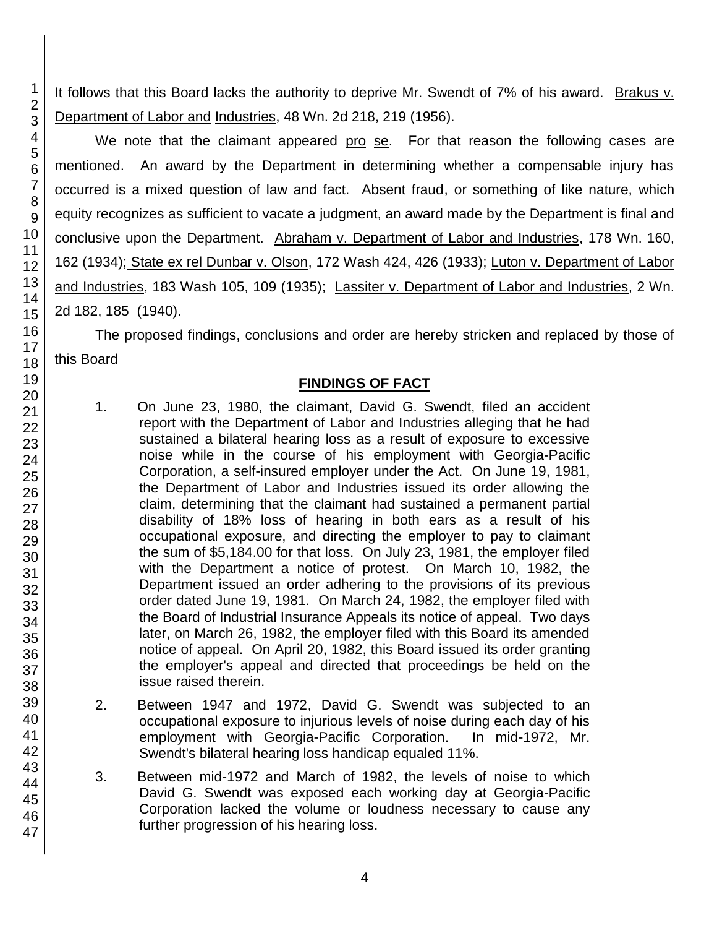It follows that this Board lacks the authority to deprive Mr. Swendt of 7% of his award. Brakus v. Department of Labor and Industries, 48 Wn. 2d 218, 219 (1956).

We note that the claimant appeared pro se. For that reason the following cases are mentioned. An award by the Department in determining whether a compensable injury has occurred is a mixed question of law and fact. Absent fraud, or something of like nature, which equity recognizes as sufficient to vacate a judgment, an award made by the Department is final and conclusive upon the Department. Abraham v. Department of Labor and Industries, 178 Wn. 160, 162 (1934); State ex rel Dunbar v. Olson, 172 Wash 424, 426 (1933); Luton v. Department of Labor and Industries, 183 Wash 105, 109 (1935); Lassiter v. Department of Labor and Industries, 2 Wn. 2d 182, 185 (1940).

The proposed findings, conclusions and order are hereby stricken and replaced by those of this Board

## **FINDINGS OF FACT**

- 1. On June 23, 1980, the claimant, David G. Swendt, filed an accident report with the Department of Labor and Industries alleging that he had sustained a bilateral hearing loss as a result of exposure to excessive noise while in the course of his employment with Georgia-Pacific Corporation, a self-insured employer under the Act. On June 19, 1981, the Department of Labor and Industries issued its order allowing the claim, determining that the claimant had sustained a permanent partial disability of 18% loss of hearing in both ears as a result of his occupational exposure, and directing the employer to pay to claimant the sum of \$5,184.00 for that loss. On July 23, 1981, the employer filed with the Department a notice of protest. On March 10, 1982, the Department issued an order adhering to the provisions of its previous order dated June 19, 1981. On March 24, 1982, the employer filed with the Board of Industrial Insurance Appeals its notice of appeal. Two days later, on March 26, 1982, the employer filed with this Board its amended notice of appeal. On April 20, 1982, this Board issued its order granting the employer's appeal and directed that proceedings be held on the issue raised therein.
- 2. Between 1947 and 1972, David G. Swendt was subjected to an occupational exposure to injurious levels of noise during each day of his employment with Georgia-Pacific Corporation. In mid-1972, Mr. Swendt's bilateral hearing loss handicap equaled 11%.
- 3. Between mid-1972 and March of 1982, the levels of noise to which David G. Swendt was exposed each working day at Georgia-Pacific Corporation lacked the volume or loudness necessary to cause any further progression of his hearing loss.